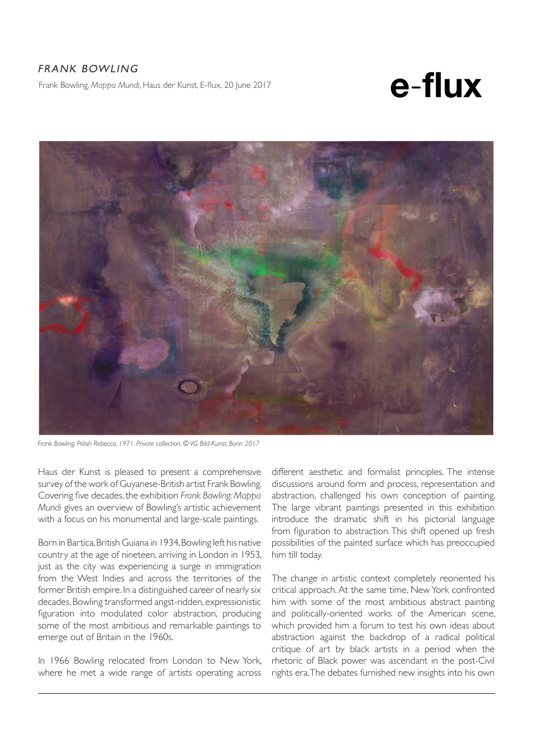## FRANK BOWLING Frank Bowling, *Mappa Mundi*, Haus der Kunst, E-flux, 20 June 2017

e-flux



*Frank Bowling, Polish Rebecca, 1971. Private collection. © VG Bild-Kunst, Bonn 2017* 

Haus der Kunst is pleased to present a comprehensive survey of the work of Guyanese-British artist Frank Bowling. Covering five decades, the exhibition *Frank Bowling: Mappa Mundi* gives an overview of Bowling's artistic achievement with a focus on his monumental and large-scale paintings.

Born in Bartica, British Guiana in 1934, Bowling left his native country at the age of nineteen, arriving in London in 1953, just as the city was experiencing a surge in immigration from the West Indies and across the territories of the former British empire. In a distinguished career of nearly six decades, Bowling transformed angst-ridden, expressionistic figuration into modulated color abstraction, producing some of the most ambitious and remarkable paintings to emerge out of Britain in the 1960s.

In 1966 Bowling relocated from London to New York, where he met a wide range of artists operating across

different aesthetic and formalist principles. The intense discussions around form and process, representation and abstraction, challenged his own conception of painting. The large vibrant paintings presented in this exhibition introduce the dramatic shift in his pictorial language from figuration to abstraction. This shift opened up fresh possibilities of the painted surface which has preoccupied him till today.

The change in artistic context completely reoriented his critical approach. At the same time, New York confronted him with some of the most ambitious abstract painting and politically-oriented works of the American scene, which provided him a forum to test his own ideas about abstraction against the backdrop of a radical political critique of art by black artists in a period when the rhetoric of Black power was ascendant in the post-Civil rights era. The debates furnished new insights into his own